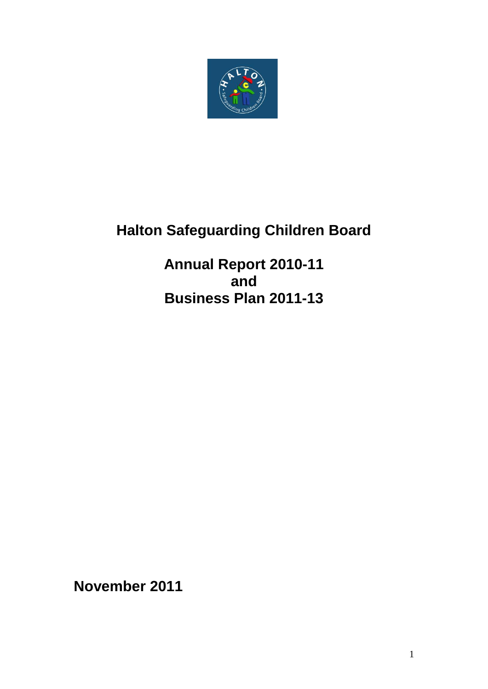

# **Halton Safeguarding Children Board**

**Annual Report 2010-11 and Business Plan 2011-13**

**November 2011**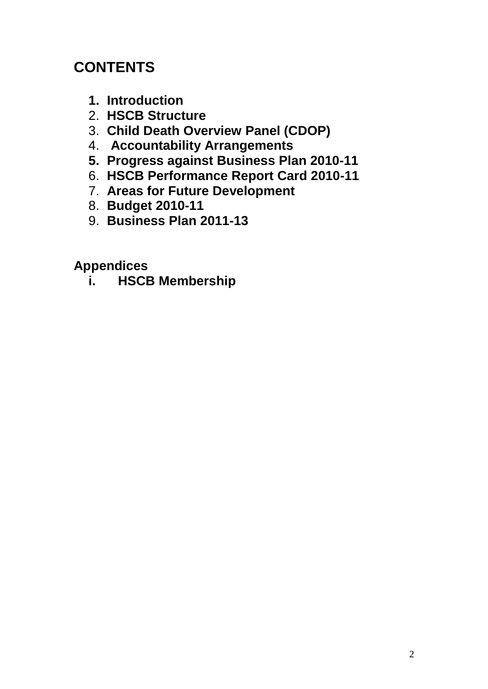# **CONTENTS**

- **1. Introduction**
- 2. **HSCB Structure**
- 3. **Child Death Overview Panel (CDOP)**
- 4. **Accountability Arrangements**
- **5. Progress against Business Plan 2010-11**
- 6. **HSCB Performance Report Card 2010-11**
- 7. **Areas for Future Development**
- 8. **Budget 2010-11**
- 9. **Business Plan 2011-13**

# **Appendices**

**i. HSCB Membership**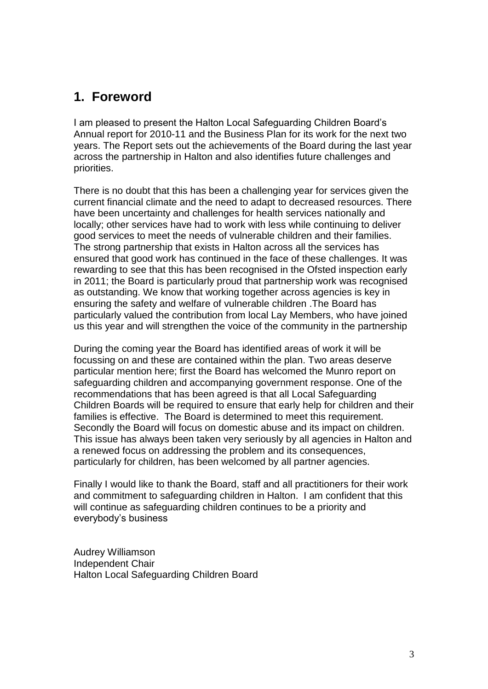### **1. Foreword**

I am pleased to present the Halton Local Safeguarding Children Board"s Annual report for 2010-11 and the Business Plan for its work for the next two years. The Report sets out the achievements of the Board during the last year across the partnership in Halton and also identifies future challenges and priorities.

There is no doubt that this has been a challenging year for services given the current financial climate and the need to adapt to decreased resources. There have been uncertainty and challenges for health services nationally and locally; other services have had to work with less while continuing to deliver good services to meet the needs of vulnerable children and their families. The strong partnership that exists in Halton across all the services has ensured that good work has continued in the face of these challenges. It was rewarding to see that this has been recognised in the Ofsted inspection early in 2011; the Board is particularly proud that partnership work was recognised as outstanding. We know that working together across agencies is key in ensuring the safety and welfare of vulnerable children .The Board has particularly valued the contribution from local Lay Members, who have joined us this year and will strengthen the voice of the community in the partnership

During the coming year the Board has identified areas of work it will be focussing on and these are contained within the plan. Two areas deserve particular mention here; first the Board has welcomed the Munro report on safeguarding children and accompanying government response. One of the recommendations that has been agreed is that all Local Safeguarding Children Boards will be required to ensure that early help for children and their families is effective. The Board is determined to meet this requirement. Secondly the Board will focus on domestic abuse and its impact on children. This issue has always been taken very seriously by all agencies in Halton and a renewed focus on addressing the problem and its consequences, particularly for children, has been welcomed by all partner agencies.

Finally I would like to thank the Board, staff and all practitioners for their work and commitment to safeguarding children in Halton. I am confident that this will continue as safeguarding children continues to be a priority and everybody"s business

Audrey Williamson Independent Chair Halton Local Safeguarding Children Board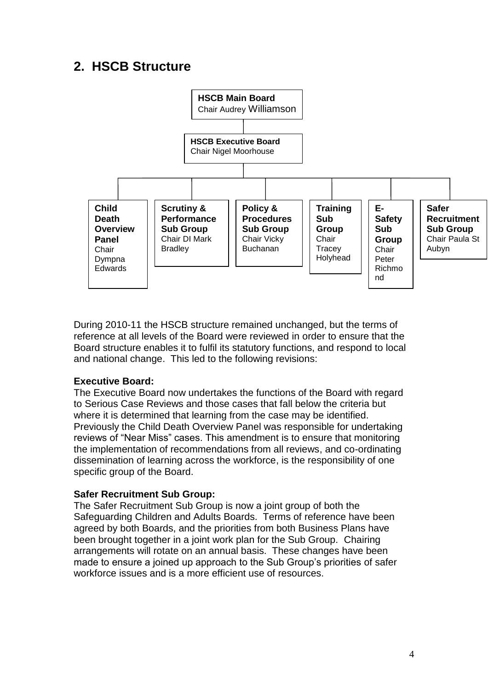# **2. HSCB Structure**



During 2010-11 the HSCB structure remained unchanged, but the terms of reference at all levels of the Board were reviewed in order to ensure that the Board structure enables it to fulfil its statutory functions, and respond to local and national change. This led to the following revisions:

#### **Executive Board:**

The Executive Board now undertakes the functions of the Board with regard to Serious Case Reviews and those cases that fall below the criteria but where it is determined that learning from the case may be identified. Previously the Child Death Overview Panel was responsible for undertaking reviews of "Near Miss" cases. This amendment is to ensure that monitoring the implementation of recommendations from all reviews, and co-ordinating dissemination of learning across the workforce, is the responsibility of one specific group of the Board.

#### **Safer Recruitment Sub Group:**

The Safer Recruitment Sub Group is now a joint group of both the Safeguarding Children and Adults Boards. Terms of reference have been agreed by both Boards, and the priorities from both Business Plans have been brought together in a joint work plan for the Sub Group. Chairing arrangements will rotate on an annual basis. These changes have been made to ensure a joined up approach to the Sub Group"s priorities of safer workforce issues and is a more efficient use of resources.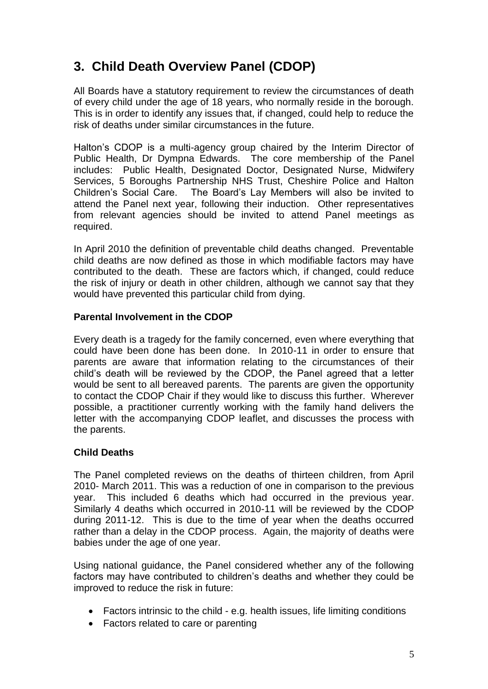# **3. Child Death Overview Panel (CDOP)**

All Boards have a statutory requirement to review the circumstances of death of every child under the age of 18 years, who normally reside in the borough. This is in order to identify any issues that, if changed, could help to reduce the risk of deaths under similar circumstances in the future.

Halton"s CDOP is a multi-agency group chaired by the Interim Director of Public Health, Dr Dympna Edwards. The core membership of the Panel includes: Public Health, Designated Doctor, Designated Nurse, Midwifery Services, 5 Boroughs Partnership NHS Trust, Cheshire Police and Halton Children"s Social Care. The Board"s Lay Members will also be invited to attend the Panel next year, following their induction. Other representatives from relevant agencies should be invited to attend Panel meetings as required.

In April 2010 the definition of preventable child deaths changed. Preventable child deaths are now defined as those in which modifiable factors may have contributed to the death. These are factors which, if changed, could reduce the risk of injury or death in other children, although we cannot say that they would have prevented this particular child from dying.

#### **Parental Involvement in the CDOP**

Every death is a tragedy for the family concerned, even where everything that could have been done has been done. In 2010-11 in order to ensure that parents are aware that information relating to the circumstances of their child"s death will be reviewed by the CDOP, the Panel agreed that a letter would be sent to all bereaved parents. The parents are given the opportunity to contact the CDOP Chair if they would like to discuss this further. Wherever possible, a practitioner currently working with the family hand delivers the letter with the accompanying CDOP leaflet, and discusses the process with the parents.

#### **Child Deaths**

The Panel completed reviews on the deaths of thirteen children, from April 2010- March 2011. This was a reduction of one in comparison to the previous year. This included 6 deaths which had occurred in the previous year. Similarly 4 deaths which occurred in 2010-11 will be reviewed by the CDOP during 2011-12. This is due to the time of year when the deaths occurred rather than a delay in the CDOP process. Again, the majority of deaths were babies under the age of one year.

Using national guidance, the Panel considered whether any of the following factors may have contributed to children's deaths and whether they could be improved to reduce the risk in future:

- Factors intrinsic to the child e.g. health issues, life limiting conditions
- Factors related to care or parenting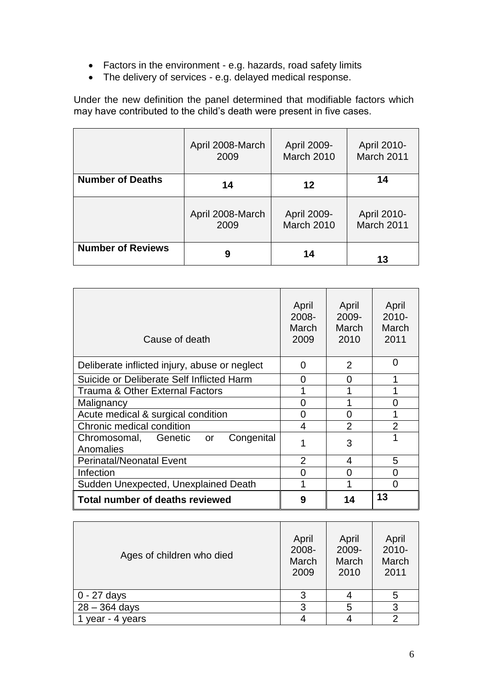- Factors in the environment e.g. hazards, road safety limits
- The delivery of services e.g. delayed medical response.

Under the new definition the panel determined that modifiable factors which may have contributed to the child"s death were present in five cases.

|                          | April 2008-March | April 2009- | April 2010- |
|--------------------------|------------------|-------------|-------------|
|                          | 2009             | March 2010  | March 2011  |
| <b>Number of Deaths</b>  | 14               | 12          | 14          |
|                          | April 2008-March | April 2009- | April 2010- |
|                          | 2009             | March 2010  | March 2011  |
| <b>Number of Reviews</b> | 9                | 14          | 13          |

| Cause of death                                     | April<br>2008-<br>March<br>2009 | April<br>2009-<br><b>March</b><br>2010 | April<br>$2010 -$<br>March<br>2011 |
|----------------------------------------------------|---------------------------------|----------------------------------------|------------------------------------|
| Deliberate inflicted injury, abuse or neglect      | 0                               | $\overline{2}$                         | $\Omega$                           |
| Suicide or Deliberate Self Inflicted Harm          | O                               | 0                                      | 1                                  |
| Trauma & Other External Factors                    |                                 |                                        |                                    |
| Malignancy                                         | O                               |                                        | ი                                  |
| Acute medical & surgical condition                 | O                               | 0                                      |                                    |
| Chronic medical condition                          | 4                               | $\overline{2}$                         | $\overline{2}$                     |
| Chromosomal, Genetic or<br>Congenital<br>Anomalies |                                 | 3                                      | 1                                  |
| <b>Perinatal/Neonatal Event</b>                    | $\overline{2}$                  | 4                                      | 5                                  |
| Infection                                          | O                               | O                                      | O                                  |
| Sudden Unexpected, Unexplained Death               |                                 |                                        | 0                                  |
| <b>Total number of deaths reviewed</b>             | 9                               | 14                                     | 13                                 |

| Ages of children who died | April<br>2008-<br>March<br>2009 | April<br>2009-<br>March<br>2010 | April<br>2010-<br>March<br>2011 |
|---------------------------|---------------------------------|---------------------------------|---------------------------------|
| 0 - 27 days               | 3                               |                                 | 5                               |
| $28 - 364$ days           | 3                               | 5                               | 3                               |
| year - $4$<br>years       |                                 |                                 |                                 |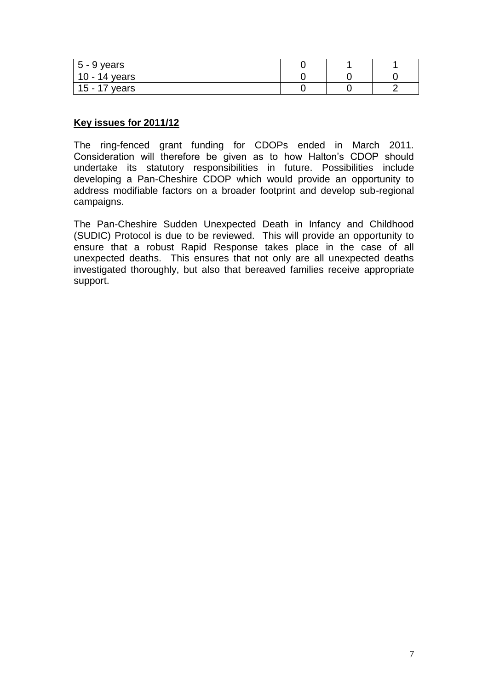| $5 - 9$ years          |  |  |
|------------------------|--|--|
| 14 years<br>. .<br>ּטו |  |  |
| 15 -<br>years          |  |  |

#### **Key issues for 2011/12**

The ring-fenced grant funding for CDOPs ended in March 2011. Consideration will therefore be given as to how Halton"s CDOP should undertake its statutory responsibilities in future. Possibilities include developing a Pan-Cheshire CDOP which would provide an opportunity to address modifiable factors on a broader footprint and develop sub-regional campaigns.

The Pan-Cheshire Sudden Unexpected Death in Infancy and Childhood (SUDIC) Protocol is due to be reviewed. This will provide an opportunity to ensure that a robust Rapid Response takes place in the case of all unexpected deaths. This ensures that not only are all unexpected deaths investigated thoroughly, but also that bereaved families receive appropriate support.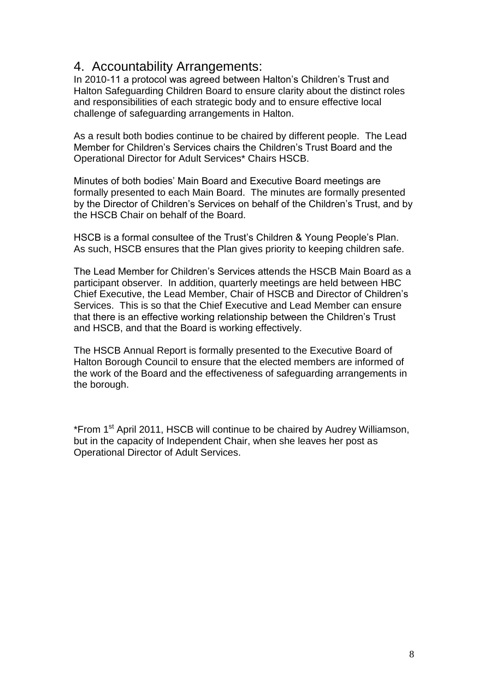### 4. Accountability Arrangements:

In 2010-11 a protocol was agreed between Halton"s Children"s Trust and Halton Safeguarding Children Board to ensure clarity about the distinct roles and responsibilities of each strategic body and to ensure effective local challenge of safeguarding arrangements in Halton.

As a result both bodies continue to be chaired by different people. The Lead Member for Children"s Services chairs the Children"s Trust Board and the Operational Director for Adult Services\* Chairs HSCB.

Minutes of both bodies" Main Board and Executive Board meetings are formally presented to each Main Board. The minutes are formally presented by the Director of Children"s Services on behalf of the Children"s Trust, and by the HSCB Chair on behalf of the Board.

HSCB is a formal consultee of the Trust's Children & Young People's Plan. As such, HSCB ensures that the Plan gives priority to keeping children safe.

The Lead Member for Children"s Services attends the HSCB Main Board as a participant observer. In addition, quarterly meetings are held between HBC Chief Executive, the Lead Member, Chair of HSCB and Director of Children"s Services. This is so that the Chief Executive and Lead Member can ensure that there is an effective working relationship between the Children"s Trust and HSCB, and that the Board is working effectively.

The HSCB Annual Report is formally presented to the Executive Board of Halton Borough Council to ensure that the elected members are informed of the work of the Board and the effectiveness of safeguarding arrangements in the borough.

\*From 1<sup>st</sup> April 2011, HSCB will continue to be chaired by Audrey Williamson, but in the capacity of Independent Chair, when she leaves her post as Operational Director of Adult Services.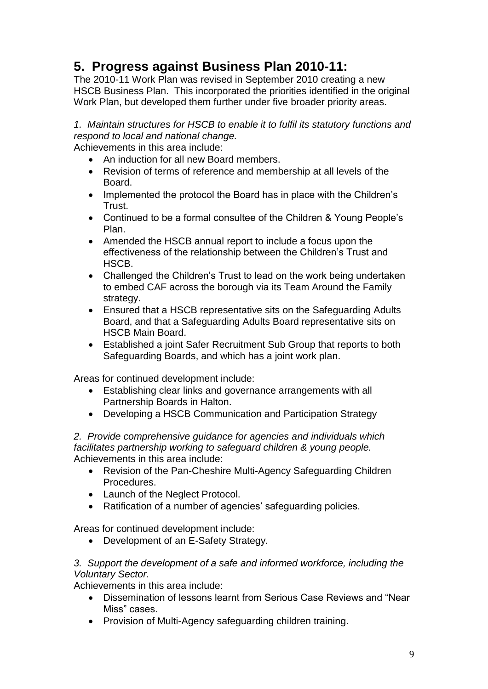# **5. Progress against Business Plan 2010-11:**

The 2010-11 Work Plan was revised in September 2010 creating a new HSCB Business Plan. This incorporated the priorities identified in the original Work Plan, but developed them further under five broader priority areas.

*1. Maintain structures for HSCB to enable it to fulfil its statutory functions and respond to local and national change.*

Achievements in this area include:

- An induction for all new Board members.
- Revision of terms of reference and membership at all levels of the Board.
- Implemented the protocol the Board has in place with the Children's Trust.
- Continued to be a formal consultee of the Children & Young People's Plan.
- Amended the HSCB annual report to include a focus upon the effectiveness of the relationship between the Children"s Trust and HSCB.
- Challenged the Children's Trust to lead on the work being undertaken to embed CAF across the borough via its Team Around the Family strategy.
- Ensured that a HSCB representative sits on the Safeguarding Adults Board, and that a Safeguarding Adults Board representative sits on HSCB Main Board.
- Established a joint Safer Recruitment Sub Group that reports to both Safeguarding Boards, and which has a joint work plan.

Areas for continued development include:

- Establishing clear links and governance arrangements with all Partnership Boards in Halton.
- Developing a HSCB Communication and Participation Strategy

*2. Provide comprehensive guidance for agencies and individuals which facilitates partnership working to safeguard children & young people.* Achievements in this area include:

- Revision of the Pan-Cheshire Multi-Agency Safeguarding Children Procedures.
- Launch of the Neglect Protocol.
- Ratification of a number of agencies' safeguarding policies.

Areas for continued development include:

• Development of an E-Safety Strategy.

#### *3. Support the development of a safe and informed workforce, including the Voluntary Sector.*

Achievements in this area include:

- Dissemination of lessons learnt from Serious Case Reviews and "Near Miss" cases.
- Provision of Multi-Agency safeguarding children training.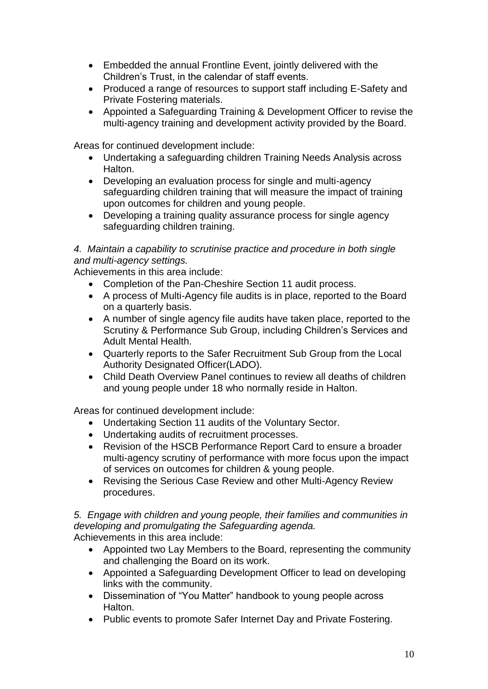- Embedded the annual Frontline Event, jointly delivered with the Children"s Trust, in the calendar of staff events.
- Produced a range of resources to support staff including E-Safety and Private Fostering materials.
- Appointed a Safeguarding Training & Development Officer to revise the multi-agency training and development activity provided by the Board.

Areas for continued development include:

- Undertaking a safeguarding children Training Needs Analysis across Halton.
- Developing an evaluation process for single and multi-agency safeguarding children training that will measure the impact of training upon outcomes for children and young people.
- Developing a training quality assurance process for single agency safeguarding children training.

#### *4. Maintain a capability to scrutinise practice and procedure in both single and multi-agency settings.*

Achievements in this area include:

- Completion of the Pan-Cheshire Section 11 audit process.
- A process of Multi-Agency file audits is in place, reported to the Board on a quarterly basis.
- A number of single agency file audits have taken place, reported to the Scrutiny & Performance Sub Group, including Children"s Services and Adult Mental Health.
- Quarterly reports to the Safer Recruitment Sub Group from the Local Authority Designated Officer(LADO).
- Child Death Overview Panel continues to review all deaths of children and young people under 18 who normally reside in Halton.

Areas for continued development include:

- Undertaking Section 11 audits of the Voluntary Sector.
- Undertaking audits of recruitment processes.
- Revision of the HSCB Performance Report Card to ensure a broader multi-agency scrutiny of performance with more focus upon the impact of services on outcomes for children & young people.
- Revising the Serious Case Review and other Multi-Agency Review procedures.

*5. Engage with children and young people, their families and communities in developing and promulgating the Safeguarding agenda.* Achievements in this area include:

- Appointed two Lay Members to the Board, representing the community and challenging the Board on its work.
- Appointed a Safeguarding Development Officer to lead on developing links with the community.
- Dissemination of "You Matter" handbook to young people across **Halton**
- Public events to promote Safer Internet Day and Private Fostering.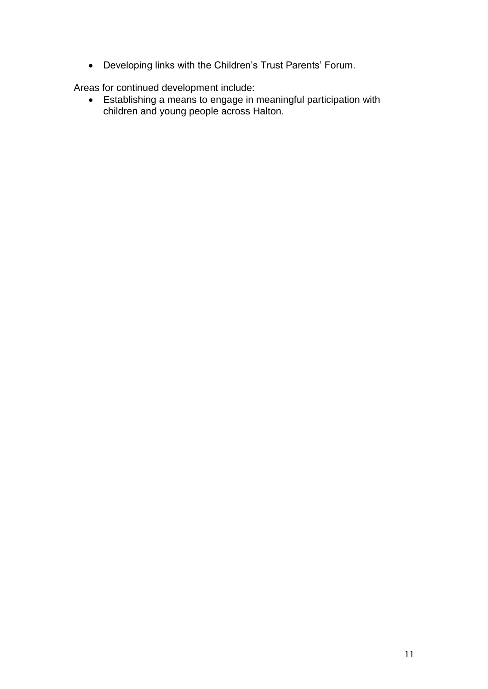• Developing links with the Children's Trust Parents' Forum.

Areas for continued development include:

 Establishing a means to engage in meaningful participation with children and young people across Halton.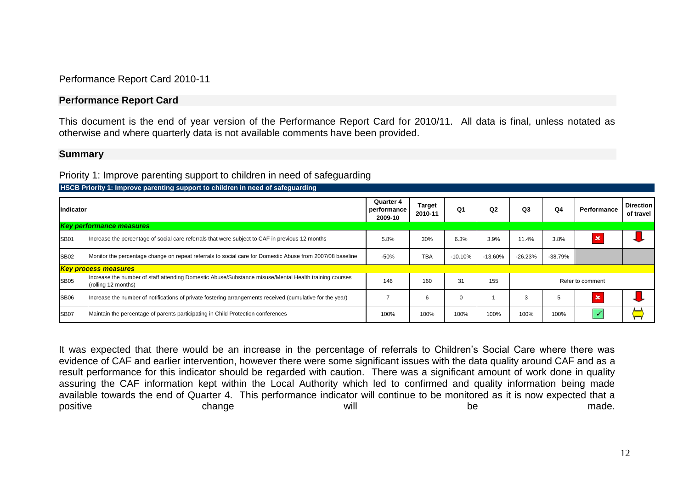Performance Report Card 2010-11

#### **Performance Report Card**

This document is the end of year version of the Performance Report Card for 2010/11. All data is final, unless notated as otherwise and where quarterly data is not available comments have been provided.

#### **Summary**

#### Priority 1: Improve parenting support to children in need of safeguarding

| Indicator   |                                                                                                                              | Quarter 4<br>performance<br>2009-10 | <b>Target</b><br>2010-11 | Q <sub>1</sub> | Q2        | Q3               | Q4        | Performance | <b>Direction</b><br>of travel |
|-------------|------------------------------------------------------------------------------------------------------------------------------|-------------------------------------|--------------------------|----------------|-----------|------------------|-----------|-------------|-------------------------------|
|             | <b>Key performance measures</b>                                                                                              |                                     |                          |                |           |                  |           |             |                               |
| <b>SB01</b> | Increase the percentage of social care referrals that were subject to CAF in previous 12 months                              | 5.8%                                | 30%                      | 6.3%           | 3.9%      | 11.4%            | 3.8%      | ×           |                               |
| <b>SB02</b> | Monitor the percentage change on repeat referrals to social care for Domestic Abuse from 2007/08 baseline                    | $-50%$                              | <b>TBA</b>               | $-10.10%$      | $-13.60%$ | $-26.23%$        | $-38.79%$ |             |                               |
|             | <b>Key process measures</b>                                                                                                  |                                     |                          |                |           |                  |           |             |                               |
| <b>SB05</b> | Increase the number of staff attending Domestic Abuse/Substance misuse/Mental Health training courses<br>(rolling 12 months) | 146                                 | 160                      | 31             | 155       | Refer to comment |           |             |                               |
| <b>SB06</b> | Increase the number of notifications of private fostering arrangements received (cumulative for the year)                    |                                     | 6                        | 0              |           | 3                | 5         | ×           |                               |
| <b>SB07</b> | Maintain the percentage of parents participating in Child Protection conferences                                             | 100%                                | 100%                     | 100%           | 100%      | 100%             | 100%      |             |                               |

**HSCB Priority 1: Improve parenting support to children in need of safeguarding**

It was expected that there would be an increase in the percentage of referrals to Children"s Social Care where there was evidence of CAF and earlier intervention, however there were some significant issues with the data quality around CAF and as a result performance for this indicator should be regarded with caution. There was a significant amount of work done in quality assuring the CAF information kept within the Local Authority which led to confirmed and quality information being made available towards the end of Quarter 4. This performance indicator will continue to be monitored as it is now expected that a positive a change will be be made.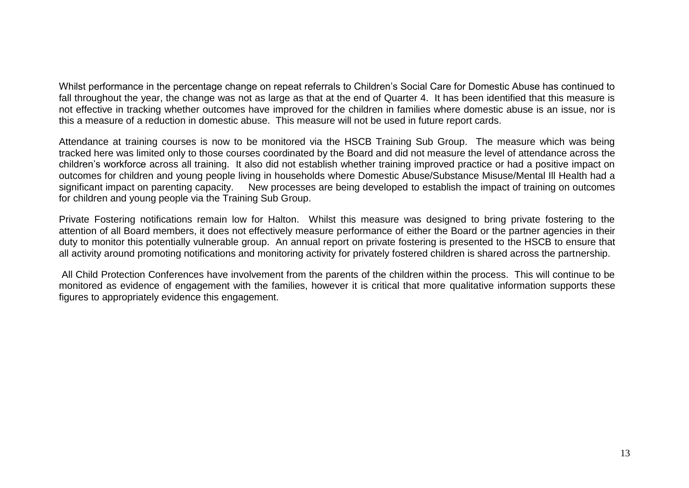Whilst performance in the percentage change on repeat referrals to Children"s Social Care for Domestic Abuse has continued to fall throughout the year, the change was not as large as that at the end of Quarter 4. It has been identified that this measure is not effective in tracking whether outcomes have improved for the children in families where domestic abuse is an issue, nor is this a measure of a reduction in domestic abuse. This measure will not be used in future report cards.

Attendance at training courses is now to be monitored via the HSCB Training Sub Group. The measure which was being tracked here was limited only to those courses coordinated by the Board and did not measure the level of attendance across the children"s workforce across all training. It also did not establish whether training improved practice or had a positive impact on outcomes for children and young people living in households where Domestic Abuse/Substance Misuse/Mental Ill Health had a significant impact on parenting capacity. New processes are being developed to establish the impact of training on outcomes for children and young people via the Training Sub Group.

Private Fostering notifications remain low for Halton. Whilst this measure was designed to bring private fostering to the attention of all Board members, it does not effectively measure performance of either the Board or the partner agencies in their duty to monitor this potentially vulnerable group. An annual report on private fostering is presented to the HSCB to ensure that all activity around promoting notifications and monitoring activity for privately fostered children is shared across the partnership.

All Child Protection Conferences have involvement from the parents of the children within the process. This will continue to be monitored as evidence of engagement with the families, however it is critical that more qualitative information supports these figures to appropriately evidence this engagement.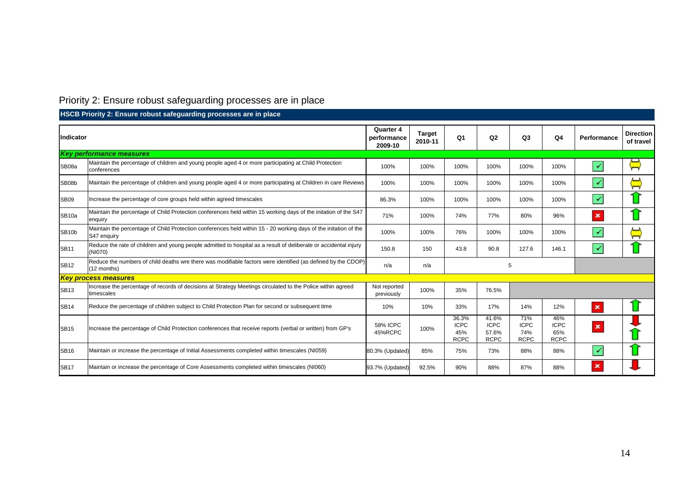# Priority 2: Ensure robust safeguarding processes are in place

|                    | HSCB Priority 2: Ensure robust safequarding processes are in place                                                              |                            |       |                                            |                                              |                                          |                                          |                           |                               |
|--------------------|---------------------------------------------------------------------------------------------------------------------------------|----------------------------|-------|--------------------------------------------|----------------------------------------------|------------------------------------------|------------------------------------------|---------------------------|-------------------------------|
|                    | <b>Indicator</b><br>performance                                                                                                 |                            |       | Q <sub>1</sub>                             | Q2                                           | Q <sub>3</sub>                           | Q <sub>4</sub>                           | Performance               | <b>Direction</b><br>of travel |
|                    | <b>Key performance measures</b>                                                                                                 |                            |       |                                            |                                              |                                          |                                          |                           |                               |
| SB08a              | Maintain the percentage of children and young people aged 4 or more participating at Child Protection<br>conferences            | 100%                       | 100%  | 100%                                       | 100%                                         | 100%                                     | 100%                                     | $\checkmark$              | ⊢                             |
| SB08b              | Maintain the percentage of children and young people aged 4 or more participating at Children in care Reviews                   | 100%                       | 100%  | 100%                                       | 100%                                         | 100%                                     | 100%                                     | $\checkmark$              | $\Xi$                         |
| <b>SB09</b>        | Increase the percentage of core groups held within agreed timescales                                                            | 86.3%                      | 100%  | 100%                                       | 100%                                         | 100%                                     | 100%                                     | $\blacktriangledown$      |                               |
| SB <sub>10a</sub>  | Maintain the percentage of Child Protection conferences held within 15 working days of the initation of the S47<br>enquiry      |                            | 100%  | 74%                                        | 77%                                          | 80%                                      | 96%                                      | $\boldsymbol{\mathsf{x}}$ |                               |
| SB <sub>10</sub> b | Maintain the percentage of Child Protection conferences held within 15 - 20 working days of the initation of the<br>S47 enquiry |                            | 100%  | 76%                                        | 100%                                         | 100%                                     | 100%                                     | $\checkmark$              | $\Xi$                         |
| <b>SB11</b>        | Reduce the rate of children and young people admitted to hospital as a result of deliberate or accidental injury<br>(NI070)     | 150.8                      | 150   | 43.8                                       | 90.8                                         | 127.6                                    | 146.1                                    | $\checkmark$              |                               |
| <b>SB12</b>        | Reduce the numbers of child deaths wre there was modifiable factors were identified (as defined by the CDOP)<br>$(12$ months)   | n/a                        | n/a   | 5                                          |                                              |                                          |                                          |                           |                               |
|                    | <b>Key process measures</b>                                                                                                     |                            |       |                                            |                                              |                                          |                                          |                           |                               |
| <b>SB13</b>        | Increase the percentage of records of decisions at Strategy Meetings circulated to the Police within agreed<br>timescales       | Not reported<br>previously | 100%  | 35%                                        | 76.5%                                        |                                          |                                          |                           |                               |
| <b>SB14</b>        | Reduce the percentage of children subject to Child Protection Plan for second or subsequent time                                | 10%                        | 10%   | 33%                                        | 17%                                          | 14%                                      | 12%                                      | $\pmb{\times}$            |                               |
| <b>SB15</b>        | Increase the percentage of Child Protection conferences that receive reports (verbal or written) from GP's                      | <b>58% ICPC</b><br>45%RCPC | 100%  | 36.3%<br><b>ICPC</b><br>45%<br><b>RCPC</b> | 41.6%<br><b>ICPC</b><br>57.6%<br><b>RCPC</b> | 71%<br><b>ICPC</b><br>74%<br><b>RCPC</b> | 46%<br><b>ICPC</b><br>65%<br><b>RCPC</b> | $\pmb{\times}$            |                               |
| <b>SB16</b>        | Maintain or increase the percentage of Initial Assessments completed within timescales (NI059)                                  | 80.3% (Updated)            | 85%   | 75%                                        | 73%                                          | 88%                                      | 88%                                      | $\blacktriangledown$      |                               |
| <b>SB17</b>        | Maintain or increase the percentage of Core Assessments completed within timescales (NI060)                                     | 93.7% (Updated)            | 92.5% | 90%                                        | 88%                                          | 87%                                      | 88%                                      | $\pmb{\times}$            |                               |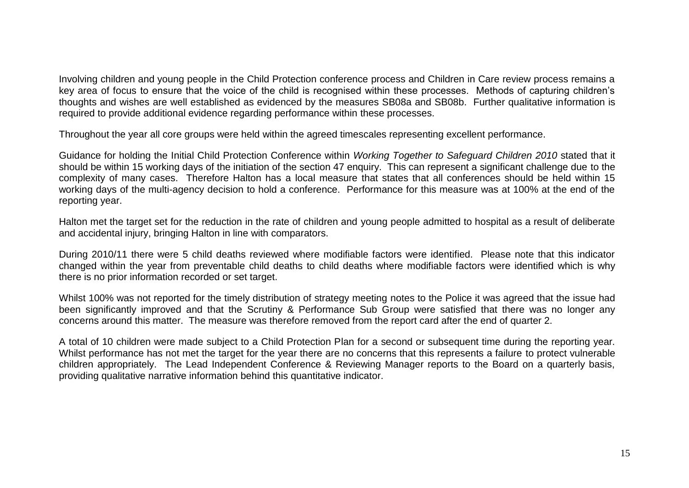Involving children and young people in the Child Protection conference process and Children in Care review process remains a key area of focus to ensure that the voice of the child is recognised within these processes. Methods of capturing children"s thoughts and wishes are well established as evidenced by the measures SB08a and SB08b. Further qualitative information is required to provide additional evidence regarding performance within these processes.

Throughout the year all core groups were held within the agreed timescales representing excellent performance.

Guidance for holding the Initial Child Protection Conference within *Working Together to Safeguard Children 2010* stated that it should be within 15 working days of the initiation of the section 47 enquiry. This can represent a significant challenge due to the complexity of many cases. Therefore Halton has a local measure that states that all conferences should be held within 15 working days of the multi-agency decision to hold a conference. Performance for this measure was at 100% at the end of the reporting year.

Halton met the target set for the reduction in the rate of children and young people admitted to hospital as a result of deliberate and accidental injury, bringing Halton in line with comparators.

During 2010/11 there were 5 child deaths reviewed where modifiable factors were identified. Please note that this indicator changed within the year from preventable child deaths to child deaths where modifiable factors were identified which is why there is no prior information recorded or set target.

Whilst 100% was not reported for the timely distribution of strategy meeting notes to the Police it was agreed that the issue had been significantly improved and that the Scrutiny & Performance Sub Group were satisfied that there was no longer any concerns around this matter. The measure was therefore removed from the report card after the end of quarter 2.

A total of 10 children were made subject to a Child Protection Plan for a second or subsequent time during the reporting year. Whilst performance has not met the target for the year there are no concerns that this represents a failure to protect vulnerable children appropriately. The Lead Independent Conference & Reviewing Manager reports to the Board on a quarterly basis, providing qualitative narrative information behind this quantitative indicator.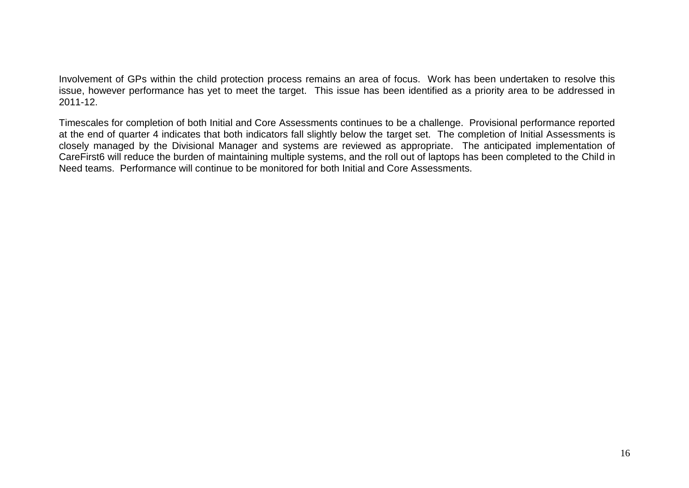Involvement of GPs within the child protection process remains an area of focus. Work has been undertaken to resolve this issue, however performance has yet to meet the target. This issue has been identified as a priority area to be addressed in 2011-12.

Timescales for completion of both Initial and Core Assessments continues to be a challenge. Provisional performance reported at the end of quarter 4 indicates that both indicators fall slightly below the target set. The completion of Initial Assessments is closely managed by the Divisional Manager and systems are reviewed as appropriate. The anticipated implementation of CareFirst6 will reduce the burden of maintaining multiple systems, and the roll out of laptops has been completed to the Child in Need teams. Performance will continue to be monitored for both Initial and Core Assessments.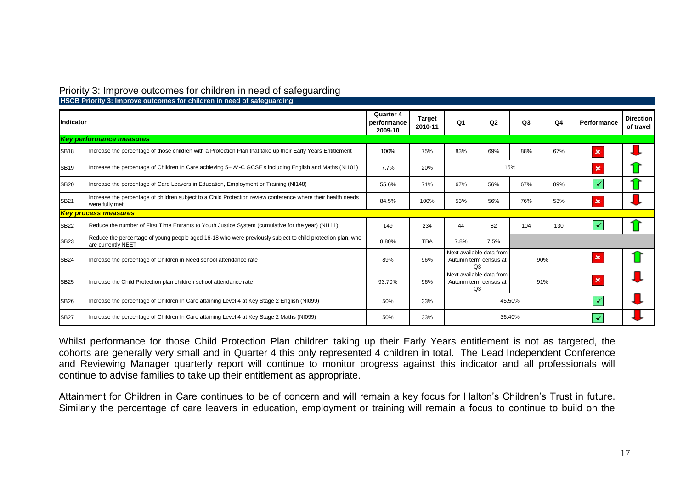| Priority 3: Improve outcomes for children in need of safeguarding |  |  |  |  |
|-------------------------------------------------------------------|--|--|--|--|
|-------------------------------------------------------------------|--|--|--|--|

|             | <b>Process to the concentration of the concentration of the concentration is always to the concentration in a concentration in a concentration in a concentration in a concentration in a concentration in a concentration in a </b> |                                     |      |                                                         |     |                |                |                |                               |
|-------------|--------------------------------------------------------------------------------------------------------------------------------------------------------------------------------------------------------------------------------------|-------------------------------------|------|---------------------------------------------------------|-----|----------------|----------------|----------------|-------------------------------|
| Indicator   |                                                                                                                                                                                                                                      |                                     |      | Q <sub>1</sub>                                          | Q2  | Q <sub>3</sub> | Q <sub>4</sub> | Performance    | <b>Direction</b><br>of travel |
|             | <b>Key performance measures</b>                                                                                                                                                                                                      |                                     |      |                                                         |     |                |                |                |                               |
| <b>SB18</b> | Increase the percentage of those children with a Protection Plan that take up their Early Years Entitlement                                                                                                                          | 100%                                | 75%  | 83%                                                     | 69% | 88%            | 67%            | $\mathbf x$    |                               |
| <b>SB19</b> | Increase the percentage of Children In Care achieving 5+ A*-C GCSE's including English and Maths (NI101)                                                                                                                             | 7.7%                                | 20%  |                                                         |     | 15%            |                | $\pmb{\times}$ |                               |
| <b>SB20</b> | Increase the percentage of Care Leavers in Education, Employment or Training (NI148)                                                                                                                                                 |                                     | 71%  | 67%                                                     | 56% | 67%            | 89%            | $\checkmark$   |                               |
| <b>SB21</b> | Increase the percentage of children subject to a Child Protection review conference where their health needs<br>were fully met                                                                                                       |                                     | 100% | 53%                                                     | 56% | 76%            | 53%            | $\pmb{\times}$ |                               |
|             | <b>Key process measures</b>                                                                                                                                                                                                          |                                     |      |                                                         |     |                |                |                |                               |
| <b>SB22</b> | Reduce the number of First Time Entrants to Youth Justice System (cumulative for the year) (NI111)                                                                                                                                   | 149                                 | 234  | 44                                                      | 82  | 104            | 130            |                |                               |
| <b>SB23</b> | Reduce the percentage of young people aged 16-18 who were previously subject to child protection plan, who<br>are currently NEET                                                                                                     | 8.80%<br><b>TBA</b><br>7.8%<br>7.5% |      |                                                         |     |                |                |                |                               |
| <b>SB24</b> | Increase the percentage of Children in Need school attendance rate                                                                                                                                                                   | 89%                                 | 96%  | Next available data from<br>Autumn term census at<br>Q3 |     |                | 90%            | $\pmb{\times}$ |                               |
| <b>SB25</b> | Increase the Child Protection plan children school attendance rate                                                                                                                                                                   | 93.70%                              | 96%  | Next available data from<br>Autumn term census at<br>Q3 |     |                | 91%            | $\pmb{\times}$ |                               |
| <b>SB26</b> | Increase the percentage of Children In Care attaining Level 4 at Key Stage 2 English (NI099)                                                                                                                                         | 50%                                 | 33%  | 45.50%                                                  |     |                | ✓              |                |                               |
| <b>SB27</b> | Increase the percentage of Children In Care attaining Level 4 at Key Stage 2 Maths (NI099)                                                                                                                                           | 50%                                 | 33%  |                                                         |     | 36.40%         |                | ✔              |                               |

**HSCB Priority 3: Improve outcomes for children in need of safeguarding** 

Whilst performance for those Child Protection Plan children taking up their Early Years entitlement is not as targeted, the cohorts are generally very small and in Quarter 4 this only represented 4 children in total. The Lead Independent Conference and Reviewing Manager quarterly report will continue to monitor progress against this indicator and all professionals will continue to advise families to take up their entitlement as appropriate.

Attainment for Children in Care continues to be of concern and will remain a key focus for Halton"s Children"s Trust in future. Similarly the percentage of care leavers in education, employment or training will remain a focus to continue to build on the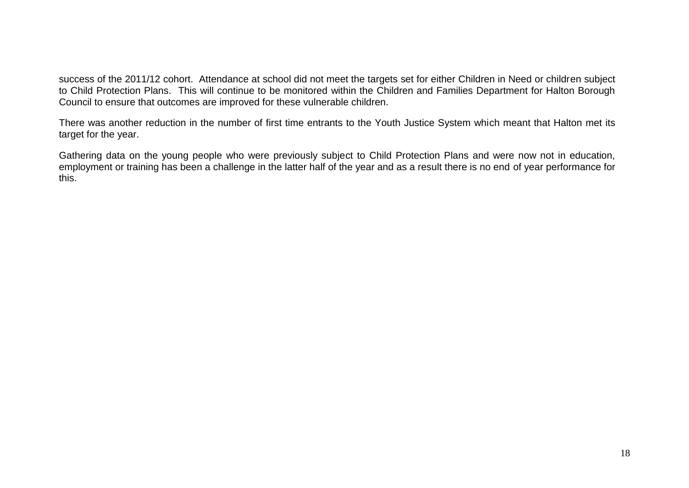success of the 2011/12 cohort. Attendance at school did not meet the targets set for either Children in Need or children subject to Child Protection Plans. This will continue to be monitored within the Children and Families Department for Halton Borough Council to ensure that outcomes are improved for these vulnerable children.

There was another reduction in the number of first time entrants to the Youth Justice System which meant that Halton met its target for the year.

Gathering data on the young people who were previously subject to Child Protection Plans and were now not in education, employment or training has been a challenge in the latter half of the year and as a result there is no end of year performance for this.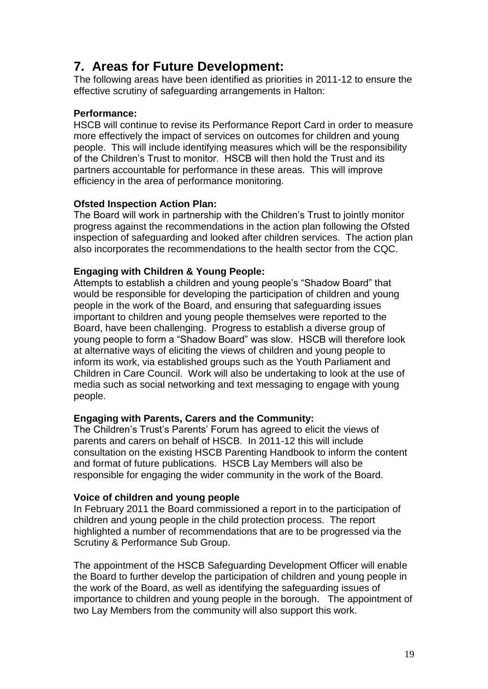## **7. Areas for Future Development:**

The following areas have been identified as priorities in 2011-12 to ensure the effective scrutiny of safeguarding arrangements in Halton:

#### **Performance:**

HSCB will continue to revise its Performance Report Card in order to measure more effectively the impact of services on outcomes for children and young people. This will include identifying measures which will be the responsibility of the Children"s Trust to monitor. HSCB will then hold the Trust and its partners accountable for performance in these areas. This will improve efficiency in the area of performance monitoring.

#### **Ofsted Inspection Action Plan:**

The Board will work in partnership with the Children"s Trust to jointly monitor progress against the recommendations in the action plan following the Ofsted inspection of safeguarding and looked after children services. The action plan also incorporates the recommendations to the health sector from the CQC.

#### **Engaging with Children & Young People:**

Attempts to establish a children and young people's "Shadow Board" that would be responsible for developing the participation of children and young people in the work of the Board, and ensuring that safeguarding issues important to children and young people themselves were reported to the Board, have been challenging. Progress to establish a diverse group of young people to form a "Shadow Board" was slow. HSCB will therefore look at alternative ways of eliciting the views of children and young people to inform its work, via established groups such as the Youth Parliament and Children in Care Council. Work will also be undertaking to look at the use of media such as social networking and text messaging to engage with young people.

#### **Engaging with Parents, Carers and the Community:**

The Children's Trust's Parents' Forum has agreed to elicit the views of parents and carers on behalf of HSCB. In 2011-12 this will include consultation on the existing HSCB Parenting Handbook to inform the content and format of future publications. HSCB Lay Members will also be responsible for engaging the wider community in the work of the Board.

#### **Voice of children and young people**

In February 2011 the Board commissioned a report in to the participation of children and young people in the child protection process. The report highlighted a number of recommendations that are to be progressed via the Scrutiny & Performance Sub Group.

The appointment of the HSCB Safeguarding Development Officer will enable the Board to further develop the participation of children and young people in the work of the Board, as well as identifying the safeguarding issues of importance to children and young people in the borough. The appointment of two Lay Members from the community will also support this work.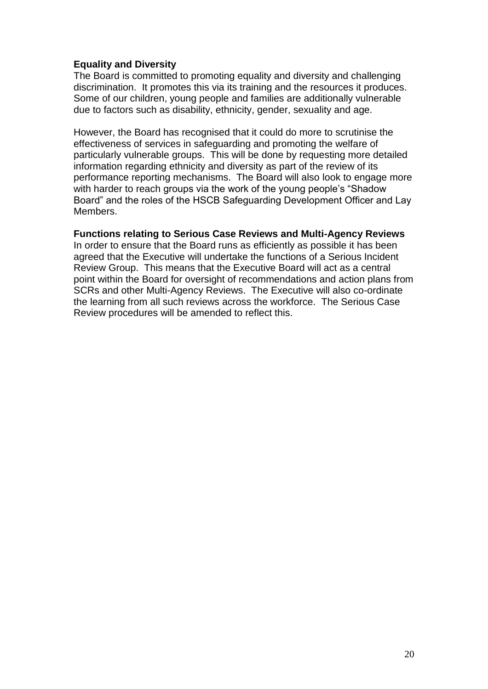#### **Equality and Diversity**

The Board is committed to promoting equality and diversity and challenging discrimination. It promotes this via its training and the resources it produces. Some of our children, young people and families are additionally vulnerable due to factors such as disability, ethnicity, gender, sexuality and age.

However, the Board has recognised that it could do more to scrutinise the effectiveness of services in safeguarding and promoting the welfare of particularly vulnerable groups. This will be done by requesting more detailed information regarding ethnicity and diversity as part of the review of its performance reporting mechanisms. The Board will also look to engage more with harder to reach groups via the work of the young people"s "Shadow Board" and the roles of the HSCB Safeguarding Development Officer and Lay Members.

#### **Functions relating to Serious Case Reviews and Multi-Agency Reviews**

In order to ensure that the Board runs as efficiently as possible it has been agreed that the Executive will undertake the functions of a Serious Incident Review Group. This means that the Executive Board will act as a central point within the Board for oversight of recommendations and action plans from SCRs and other Multi-Agency Reviews. The Executive will also co-ordinate the learning from all such reviews across the workforce. The Serious Case Review procedures will be amended to reflect this.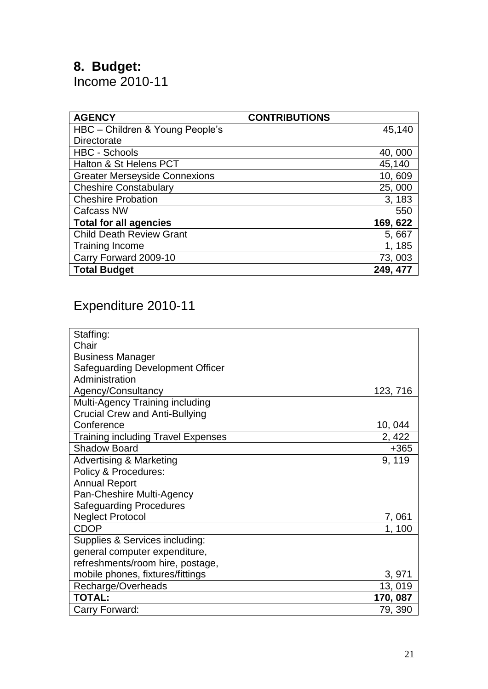# **8. Budget:**

Income 2010-11

| <b>AGENCY</b>                        | <b>CONTRIBUTIONS</b> |
|--------------------------------------|----------------------|
| HBC - Children & Young People's      | 45,140               |
| <b>Directorate</b>                   |                      |
| <b>HBC - Schools</b>                 | 40,000               |
| Halton & St Helens PCT               | 45,140               |
| <b>Greater Merseyside Connexions</b> | 10,609               |
| <b>Cheshire Constabulary</b>         | 25,000               |
| <b>Cheshire Probation</b>            | 3, 183               |
| <b>Cafcass NW</b>                    | 550                  |
| <b>Total for all agencies</b>        | 169, 622             |
| <b>Child Death Review Grant</b>      | 5,667                |
| <b>Training Income</b>               | 1, 185               |
| Carry Forward 2009-10                | 73,003               |
| <b>Total Budget</b>                  | 249, 477             |

# Expenditure 2010-11

| Staffing:                                 |          |
|-------------------------------------------|----------|
| Chair                                     |          |
| <b>Business Manager</b>                   |          |
| <b>Safeguarding Development Officer</b>   |          |
| Administration                            |          |
| Agency/Consultancy                        | 123, 716 |
| Multi-Agency Training including           |          |
| <b>Crucial Crew and Anti-Bullying</b>     |          |
| Conference                                | 10,044   |
| <b>Training including Travel Expenses</b> | 2, 422   |
| <b>Shadow Board</b>                       | $+365$   |
| <b>Advertising &amp; Marketing</b>        | 9, 119   |
| Policy & Procedures:                      |          |
| <b>Annual Report</b>                      |          |
| Pan-Cheshire Multi-Agency                 |          |
| <b>Safeguarding Procedures</b>            |          |
| <b>Neglect Protocol</b>                   | 7,061    |
| <b>CDOP</b>                               | 1, 100   |
| Supplies & Services including:            |          |
| general computer expenditure,             |          |
| refreshments/room hire, postage,          |          |
| mobile phones, fixtures/fittings          | 3,971    |
| Recharge/Overheads                        | 13,019   |
| <b>TOTAL:</b>                             | 170, 087 |
| Carry Forward:                            | 79, 390  |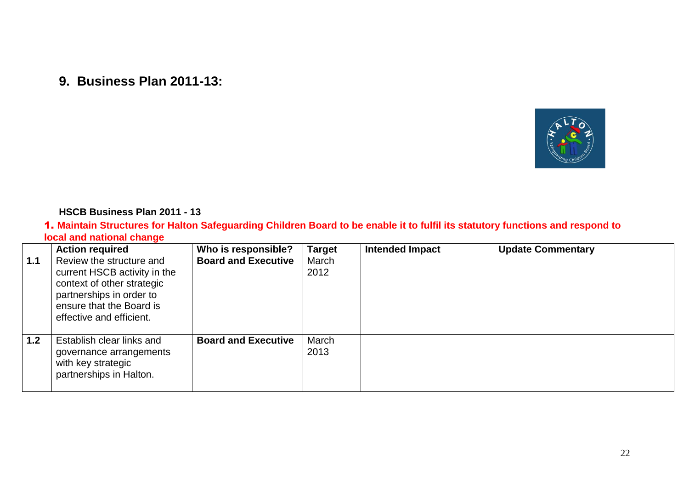**9. Business Plan 2011-13:**



#### **HSCB Business Plan 2011 - 13**

#### 1. **Maintain Structures for Halton Safeguarding Children Board to be enable it to fulfil its statutory functions and respond to local and national change**

|     | <b>Action required</b>                                                                                                                                                     | Who is responsible?        | <b>Target</b> | <b>Intended Impact</b> | <b>Update Commentary</b> |
|-----|----------------------------------------------------------------------------------------------------------------------------------------------------------------------------|----------------------------|---------------|------------------------|--------------------------|
| 1.1 | Review the structure and<br>current HSCB activity in the<br>context of other strategic<br>partnerships in order to<br>ensure that the Board is<br>effective and efficient. | <b>Board and Executive</b> | March<br>2012 |                        |                          |
| 1.2 | Establish clear links and<br>governance arrangements<br>with key strategic<br>partnerships in Halton.                                                                      | <b>Board and Executive</b> | March<br>2013 |                        |                          |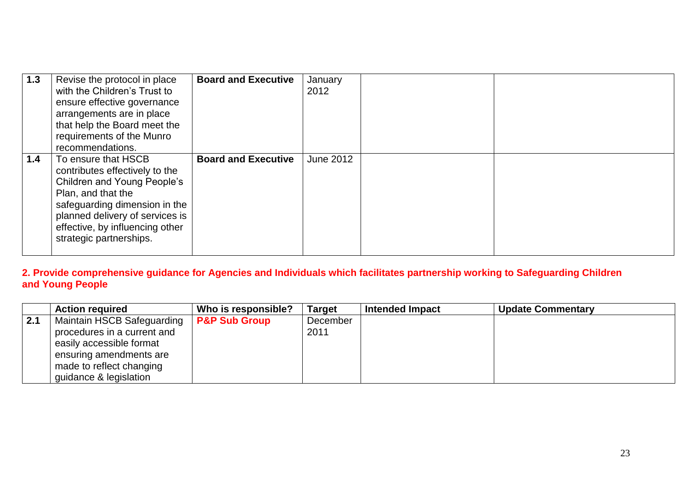| 1.3 | Revise the protocol in place<br>with the Children's Trust to<br>ensure effective governance<br>arrangements are in place<br>that help the Board meet the<br>requirements of the Munro<br>recommendations.                                    | <b>Board and Executive</b> | January<br>2012  |  |
|-----|----------------------------------------------------------------------------------------------------------------------------------------------------------------------------------------------------------------------------------------------|----------------------------|------------------|--|
| 1.4 | To ensure that HSCB<br>contributes effectively to the<br>Children and Young People's<br>Plan, and that the<br>safeguarding dimension in the<br>planned delivery of services is<br>effective, by influencing other<br>strategic partnerships. | <b>Board and Executive</b> | <b>June 2012</b> |  |

**2. Provide comprehensive guidance for Agencies and Individuals which facilitates partnership working to Safeguarding Children and Young People**

|                  | <b>Action required</b>                     | Who is responsible? | <b>Target</b> | <b>Intended Impact</b> | <b>Update Commentary</b> |
|------------------|--------------------------------------------|---------------------|---------------|------------------------|--------------------------|
| $\overline{2.1}$ | Maintain HSCB Safeguarding   P&P Sub Group |                     | December      |                        |                          |
|                  | procedures in a current and                |                     | 2011          |                        |                          |
|                  | easily accessible format                   |                     |               |                        |                          |
|                  | ensuring amendments are                    |                     |               |                        |                          |
|                  | made to reflect changing                   |                     |               |                        |                          |
|                  | guidance & legislation                     |                     |               |                        |                          |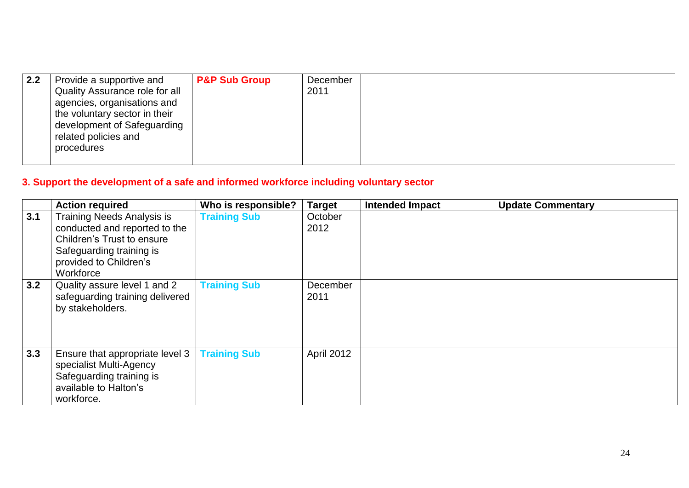| 2.2 | Provide a supportive and<br>Quality Assurance role for all<br>agencies, organisations and<br>the voluntary sector in their<br>development of Safeguarding<br>related policies and<br>procedures | <b>P&amp;P Sub Group</b> | December<br>2011 |  |  |
|-----|-------------------------------------------------------------------------------------------------------------------------------------------------------------------------------------------------|--------------------------|------------------|--|--|
|-----|-------------------------------------------------------------------------------------------------------------------------------------------------------------------------------------------------|--------------------------|------------------|--|--|

### **3. Support the development of a safe and informed workforce including voluntary sector**

|     | <b>Action required</b>                                                                                                                                              | Who is responsible? | <b>Target</b>     | <b>Intended Impact</b> | <b>Update Commentary</b> |
|-----|---------------------------------------------------------------------------------------------------------------------------------------------------------------------|---------------------|-------------------|------------------------|--------------------------|
| 3.1 | <b>Training Needs Analysis is</b><br>conducted and reported to the<br>Children's Trust to ensure<br>Safeguarding training is<br>provided to Children's<br>Workforce | <b>Training Sub</b> | October<br>2012   |                        |                          |
| 3.2 | Quality assure level 1 and 2<br>safeguarding training delivered<br>by stakeholders.                                                                                 | <b>Training Sub</b> | December<br>2011  |                        |                          |
| 3.3 | Ensure that appropriate level 3<br>specialist Multi-Agency<br>Safeguarding training is<br>available to Halton's<br>workforce.                                       | <b>Training Sub</b> | <b>April 2012</b> |                        |                          |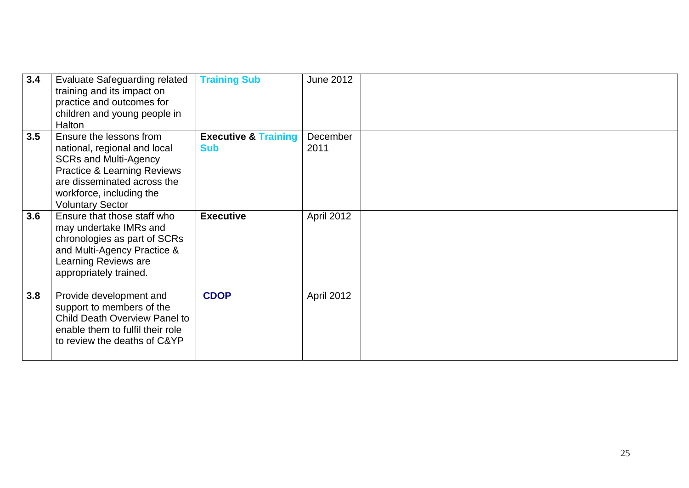| 3.4 | <b>Evaluate Safeguarding related</b><br>training and its impact on<br>practice and outcomes for<br>children and young people in<br>Halton                                                                               | <b>Training Sub</b>                           | <b>June 2012</b> |  |
|-----|-------------------------------------------------------------------------------------------------------------------------------------------------------------------------------------------------------------------------|-----------------------------------------------|------------------|--|
| 3.5 | Ensure the lessons from<br>national, regional and local<br><b>SCRs and Multi-Agency</b><br><b>Practice &amp; Learning Reviews</b><br>are disseminated across the<br>workforce, including the<br><b>Voluntary Sector</b> | <b>Executive &amp; Training</b><br><b>Sub</b> | December<br>2011 |  |
| 3.6 | Ensure that those staff who<br>may undertake IMRs and<br>chronologies as part of SCRs<br>and Multi-Agency Practice &<br>Learning Reviews are<br>appropriately trained.                                                  | <b>Executive</b>                              | April 2012       |  |
| 3.8 | Provide development and<br>support to members of the<br>Child Death Overview Panel to<br>enable them to fulfil their role<br>to review the deaths of C&YP                                                               | <b>CDOP</b>                                   | April 2012       |  |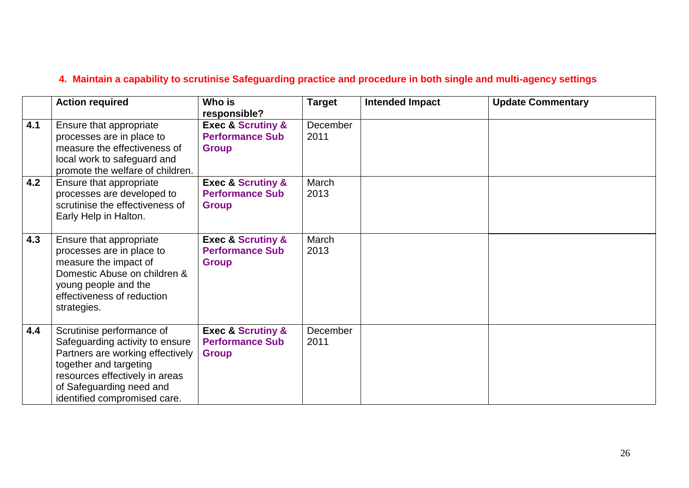### **4. Maintain a capability to scrutinise Safeguarding practice and procedure in both single and multi-agency settings**

|     | <b>Action required</b>                                                                                                                                                                                                   | Who is<br>responsible?                                                     | <b>Target</b>    | <b>Intended Impact</b> | <b>Update Commentary</b> |
|-----|--------------------------------------------------------------------------------------------------------------------------------------------------------------------------------------------------------------------------|----------------------------------------------------------------------------|------------------|------------------------|--------------------------|
| 4.1 | Ensure that appropriate<br>processes are in place to<br>measure the effectiveness of<br>local work to safeguard and<br>promote the welfare of children.                                                                  | <b>Exec &amp; Scrutiny &amp;</b><br><b>Performance Sub</b><br><b>Group</b> | December<br>2011 |                        |                          |
| 4.2 | Ensure that appropriate<br>processes are developed to<br>scrutinise the effectiveness of<br>Early Help in Halton.                                                                                                        | <b>Exec &amp; Scrutiny &amp;</b><br><b>Performance Sub</b><br><b>Group</b> | March<br>2013    |                        |                          |
| 4.3 | Ensure that appropriate<br>processes are in place to<br>measure the impact of<br>Domestic Abuse on children &<br>young people and the<br>effectiveness of reduction<br>strategies.                                       | <b>Exec &amp; Scrutiny &amp;</b><br><b>Performance Sub</b><br><b>Group</b> | March<br>2013    |                        |                          |
| 4.4 | Scrutinise performance of<br>Safeguarding activity to ensure<br>Partners are working effectively<br>together and targeting<br>resources effectively in areas<br>of Safeguarding need and<br>identified compromised care. | <b>Exec &amp; Scrutiny &amp;</b><br><b>Performance Sub</b><br><b>Group</b> | December<br>2011 |                        |                          |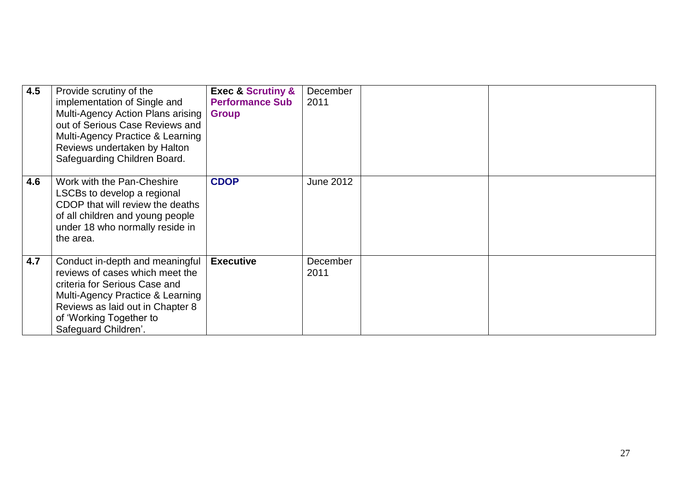| 4.5 | Provide scrutiny of the<br>implementation of Single and<br>Multi-Agency Action Plans arising<br>out of Serious Case Reviews and<br>Multi-Agency Practice & Learning<br>Reviews undertaken by Halton<br>Safeguarding Children Board. | <b>Exec &amp; Scrutiny &amp;</b><br><b>Performance Sub</b><br><b>Group</b> | December<br>2011 |  |
|-----|-------------------------------------------------------------------------------------------------------------------------------------------------------------------------------------------------------------------------------------|----------------------------------------------------------------------------|------------------|--|
|     |                                                                                                                                                                                                                                     |                                                                            |                  |  |
| 4.6 | Work with the Pan-Cheshire<br>LSCBs to develop a regional<br>CDOP that will review the deaths<br>of all children and young people<br>under 18 who normally reside in<br>the area.                                                   | <b>CDOP</b>                                                                | <b>June 2012</b> |  |
| 4.7 | Conduct in-depth and meaningful<br>reviews of cases which meet the<br>criteria for Serious Case and<br>Multi-Agency Practice & Learning<br>Reviews as laid out in Chapter 8<br>of 'Working Together to<br>Safeguard Children'.      | <b>Executive</b>                                                           | December<br>2011 |  |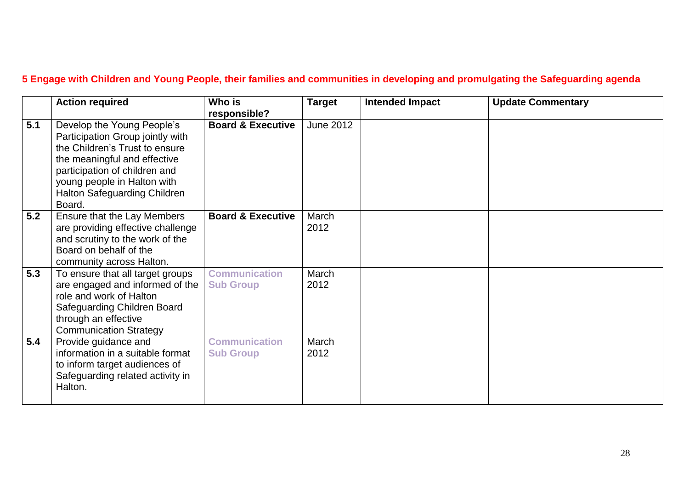### **5 Engage with Children and Young People, their families and communities in developing and promulgating the Safeguarding agenda**

|     | <b>Action required</b>                                                                                                                                                                                                                            | Who is<br>responsible?                   | <b>Target</b>    | <b>Intended Impact</b> | <b>Update Commentary</b> |
|-----|---------------------------------------------------------------------------------------------------------------------------------------------------------------------------------------------------------------------------------------------------|------------------------------------------|------------------|------------------------|--------------------------|
| 5.1 | Develop the Young People's<br>Participation Group jointly with<br>the Children's Trust to ensure<br>the meaningful and effective<br>participation of children and<br>young people in Halton with<br><b>Halton Safeguarding Children</b><br>Board. | <b>Board &amp; Executive</b>             | <b>June 2012</b> |                        |                          |
| 5.2 | Ensure that the Lay Members<br>are providing effective challenge<br>and scrutiny to the work of the<br>Board on behalf of the<br>community across Halton.                                                                                         | <b>Board &amp; Executive</b>             | March<br>2012    |                        |                          |
| 5.3 | To ensure that all target groups<br>are engaged and informed of the<br>role and work of Halton<br>Safeguarding Children Board<br>through an effective<br><b>Communication Strategy</b>                                                            | <b>Communication</b><br><b>Sub Group</b> | March<br>2012    |                        |                          |
| 5.4 | Provide guidance and<br>information in a suitable format<br>to inform target audiences of<br>Safeguarding related activity in<br>Halton.                                                                                                          | <b>Communication</b><br><b>Sub Group</b> | March<br>2012    |                        |                          |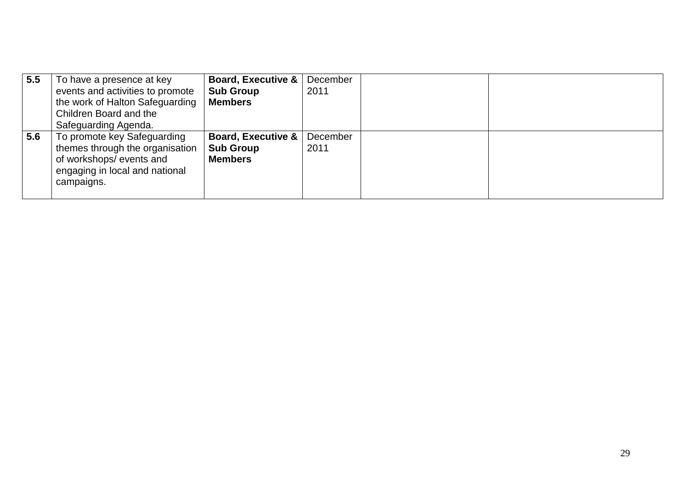| 5.5 | To have a presence at key<br>events and activities to promote<br>the work of Halton Safeguarding<br>Children Board and the<br>Safeguarding Agenda. | <b>Board, Executive &amp;</b><br><b>Sub Group</b><br><b>Members</b> | December<br>2011 |  |
|-----|----------------------------------------------------------------------------------------------------------------------------------------------------|---------------------------------------------------------------------|------------------|--|
| 5.6 | To promote key Safeguarding<br>themes through the organisation<br>of workshops/events and<br>engaging in local and national<br>campaigns.          | <b>Board, Executive &amp;</b><br><b>Sub Group</b><br><b>Members</b> | December<br>2011 |  |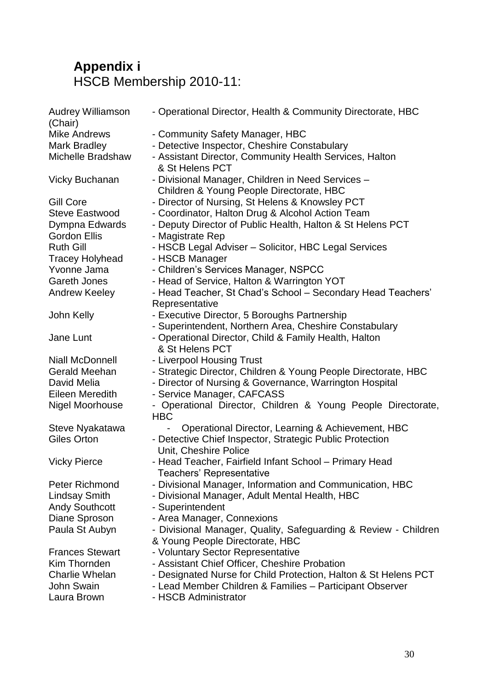# **Appendix i** HSCB Membership 2010-11:

| <b>Audrey Williamson</b><br>(Chair) | - Operational Director, Health & Community Directorate, HBC                                   |
|-------------------------------------|-----------------------------------------------------------------------------------------------|
| <b>Mike Andrews</b>                 | - Community Safety Manager, HBC                                                               |
| Mark Bradley                        | - Detective Inspector, Cheshire Constabulary                                                  |
| Michelle Bradshaw                   | - Assistant Director, Community Health Services, Halton<br>& St Helens PCT                    |
| <b>Vicky Buchanan</b>               | - Divisional Manager, Children in Need Services -<br>Children & Young People Directorate, HBC |
| <b>Gill Core</b>                    | - Director of Nursing, St Helens & Knowsley PCT                                               |
| <b>Steve Eastwood</b>               | - Coordinator, Halton Drug & Alcohol Action Team                                              |
| Dympna Edwards                      | - Deputy Director of Public Health, Halton & St Helens PCT                                    |
| <b>Gordon Ellis</b>                 | - Magistrate Rep                                                                              |
| <b>Ruth Gill</b>                    | - HSCB Legal Adviser - Solicitor, HBC Legal Services                                          |
| <b>Tracey Holyhead</b>              | - HSCB Manager                                                                                |
| Yvonne Jama                         | - Children's Services Manager, NSPCC                                                          |
| <b>Gareth Jones</b>                 | - Head of Service, Halton & Warrington YOT                                                    |
| Andrew Keeley                       | - Head Teacher, St Chad's School - Secondary Head Teachers'                                   |
|                                     | Representative                                                                                |
| John Kelly                          | - Executive Director, 5 Boroughs Partnership                                                  |
|                                     | - Superintendent, Northern Area, Cheshire Constabulary                                        |
| Jane Lunt                           | - Operational Director, Child & Family Health, Halton                                         |
|                                     | & St Helens PCT                                                                               |
| <b>Niall McDonnell</b>              | - Liverpool Housing Trust                                                                     |
| <b>Gerald Meehan</b>                | - Strategic Director, Children & Young People Directorate, HBC                                |
| David Melia                         | - Director of Nursing & Governance, Warrington Hospital                                       |
| Eileen Meredith                     | - Service Manager, CAFCASS                                                                    |
| Nigel Moorhouse                     | - Operational Director, Children & Young People Directorate,<br><b>HBC</b>                    |
| Steve Nyakatawa                     | Operational Director, Learning & Achievement, HBC                                             |
| <b>Giles Orton</b>                  | - Detective Chief Inspector, Strategic Public Protection<br>Unit, Cheshire Police             |
| <b>Vicky Pierce</b>                 | - Head Teacher, Fairfield Infant School - Primary Head<br>Teachers' Representative            |
| <b>Peter Richmond</b>               | - Divisional Manager, Information and Communication, HBC                                      |
| Lindsay Smith                       | - Divisional Manager, Adult Mental Health, HBC                                                |
| <b>Andy Southcott</b>               | - Superintendent                                                                              |
| Diane Sproson                       | - Area Manager, Connexions                                                                    |
| Paula St Aubyn                      | - Divisional Manager, Quality, Safeguarding & Review - Children                               |
|                                     | & Young People Directorate, HBC                                                               |
| <b>Frances Stewart</b>              | - Voluntary Sector Representative                                                             |
| Kim Thornden                        | - Assistant Chief Officer, Cheshire Probation                                                 |
| <b>Charlie Whelan</b>               | - Designated Nurse for Child Protection, Halton & St Helens PCT                               |
| <b>John Swain</b>                   | - Lead Member Children & Families - Participant Observer                                      |
| Laura Brown                         | - HSCB Administrator                                                                          |
|                                     |                                                                                               |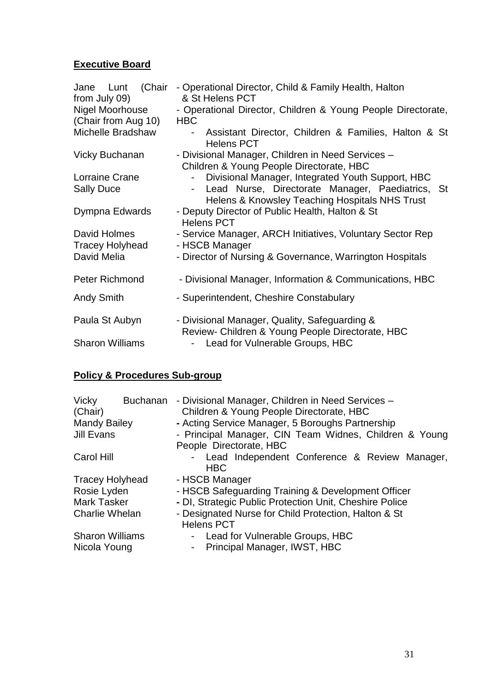#### **Executive Board**

| - Operational Director, Child & Family Health, Halton<br>& St Helens PCT                                                                                |  |  |  |  |  |
|---------------------------------------------------------------------------------------------------------------------------------------------------------|--|--|--|--|--|
| - Operational Director, Children & Young People Directorate,                                                                                            |  |  |  |  |  |
| <b>HBC</b>                                                                                                                                              |  |  |  |  |  |
| Assistant Director, Children & Families, Halton & St<br>$\overline{\phantom{0}}$<br><b>Helens PCT</b>                                                   |  |  |  |  |  |
| - Divisional Manager, Children in Need Services -<br>Children & Young People Directorate, HBC                                                           |  |  |  |  |  |
| Divisional Manager, Integrated Youth Support, HBC<br>Lead Nurse, Directorate Manager, Paediatrics, St<br>Helens & Knowsley Teaching Hospitals NHS Trust |  |  |  |  |  |
| - Deputy Director of Public Health, Halton & St<br><b>Helens PCT</b>                                                                                    |  |  |  |  |  |
| - Service Manager, ARCH Initiatives, Voluntary Sector Rep<br>- HSCB Manager                                                                             |  |  |  |  |  |
| - Director of Nursing & Governance, Warrington Hospitals                                                                                                |  |  |  |  |  |
| - Divisional Manager, Information & Communications, HBC                                                                                                 |  |  |  |  |  |
| - Superintendent, Cheshire Constabulary                                                                                                                 |  |  |  |  |  |
| - Divisional Manager, Quality, Safeguarding &<br>Review- Children & Young People Directorate, HBC                                                       |  |  |  |  |  |
| Lead for Vulnerable Groups, HBC                                                                                                                         |  |  |  |  |  |
|                                                                                                                                                         |  |  |  |  |  |

### **Policy & Procedures Sub-group**

| Vicky<br>(Chair)                       | <b>Buchanan</b> | - Divisional Manager, Children in Need Services -<br>Children & Young People Directorate, HBC |  |  |  |  |  |
|----------------------------------------|-----------------|-----------------------------------------------------------------------------------------------|--|--|--|--|--|
| <b>Mandy Bailey</b>                    |                 | - Acting Service Manager, 5 Boroughs Partnership                                              |  |  |  |  |  |
| Jill Evans                             |                 | - Principal Manager, CIN Team Widnes, Children & Young                                        |  |  |  |  |  |
|                                        |                 | People Directorate, HBC                                                                       |  |  |  |  |  |
| Carol Hill                             |                 | - Lead Independent Conference & Review Manager,<br><b>HBC</b>                                 |  |  |  |  |  |
| Tracey Holyhead                        |                 | - HSCB Manager                                                                                |  |  |  |  |  |
| Rosie Lyden                            |                 | - HSCB Safeguarding Training & Development Officer                                            |  |  |  |  |  |
| Mark Tasker                            |                 | - DI, Strategic Public Protection Unit, Cheshire Police                                       |  |  |  |  |  |
| Charlie Whelan                         |                 | - Designated Nurse for Child Protection, Halton & St<br><b>Helens PCT</b>                     |  |  |  |  |  |
| <b>Sharon Williams</b><br>Nicola Young |                 | Lead for Vulnerable Groups, HBC<br>$\sim$<br>Principal Manager, IWST, HBC<br>$\bullet$ .      |  |  |  |  |  |
|                                        |                 |                                                                                               |  |  |  |  |  |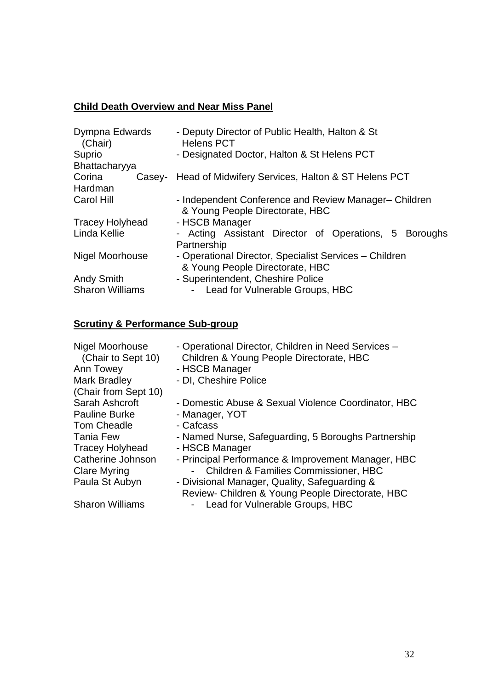### **Child Death Overview and Near Miss Panel**

| Dympna Edwards<br>(Chair) | - Deputy Director of Public Health, Halton & St<br><b>Helens PCT</b> |  |  |  |  |  |
|---------------------------|----------------------------------------------------------------------|--|--|--|--|--|
| Suprio                    | - Designated Doctor, Halton & St Helens PCT                          |  |  |  |  |  |
| Bhattacharyya             |                                                                      |  |  |  |  |  |
| Corina                    | Casey- Head of Midwifery Services, Halton & ST Helens PCT            |  |  |  |  |  |
| Hardman                   |                                                                      |  |  |  |  |  |
| <b>Carol Hill</b>         | - Independent Conference and Review Manager-Children                 |  |  |  |  |  |
| <b>Tracey Holyhead</b>    | & Young People Directorate, HBC<br>- HSCB Manager                    |  |  |  |  |  |
| Linda Kellie              | - Acting Assistant Director of Operations, 5 Boroughs                |  |  |  |  |  |
|                           | Partnership                                                          |  |  |  |  |  |
| Nigel Moorhouse           | - Operational Director, Specialist Services - Children               |  |  |  |  |  |
|                           | & Young People Directorate, HBC                                      |  |  |  |  |  |
| <b>Andy Smith</b>         | - Superintendent, Cheshire Police                                    |  |  |  |  |  |
| <b>Sharon Williams</b>    | Lead for Vulnerable Groups, HBC<br>$\sim$                            |  |  |  |  |  |

# **Scrutiny & Performance Sub-group**

| <b>Nigel Moorhouse</b><br>(Chair to Sept 10)<br>Ann Towey<br><b>Mark Bradley</b><br>(Chair from Sept 10) | - Operational Director, Children in Need Services -<br>Children & Young People Directorate, HBC<br>- HSCB Manager<br>- DI, Cheshire Police |
|----------------------------------------------------------------------------------------------------------|--------------------------------------------------------------------------------------------------------------------------------------------|
| Sarah Ashcroft                                                                                           | - Domestic Abuse & Sexual Violence Coordinator, HBC                                                                                        |
| <b>Pauline Burke</b>                                                                                     | - Manager, YOT                                                                                                                             |
| <b>Tom Cheadle</b>                                                                                       | - Cafcass                                                                                                                                  |
| <b>Tania Few</b>                                                                                         | - Named Nurse, Safeguarding, 5 Boroughs Partnership                                                                                        |
| <b>Tracey Holyhead</b>                                                                                   | - HSCB Manager                                                                                                                             |
| Catherine Johnson                                                                                        | - Principal Performance & Improvement Manager, HBC                                                                                         |
| <b>Clare Myring</b>                                                                                      | - Children & Families Commissioner, HBC                                                                                                    |
| Paula St Aubyn                                                                                           | - Divisional Manager, Quality, Safeguarding &                                                                                              |
|                                                                                                          | Review- Children & Young People Directorate, HBC                                                                                           |
| <b>Sharon Williams</b>                                                                                   | Lead for Vulnerable Groups, HBC<br>$\sigma_{\rm{eff}}$                                                                                     |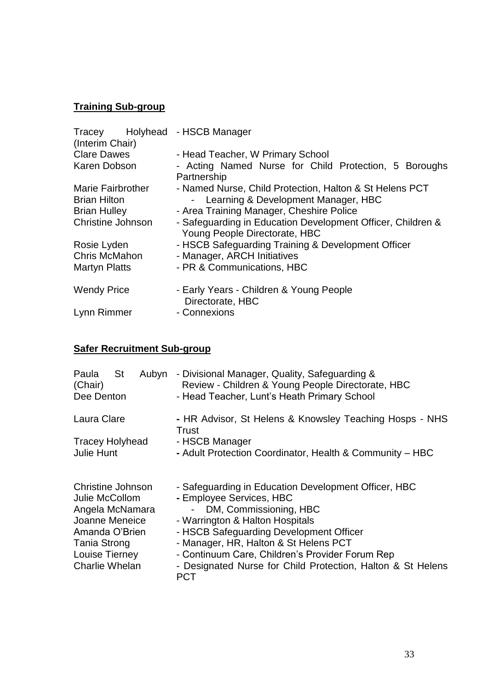### **Training Sub-group**

| Tracey Holyhead - HSCB Manager |                                                                                              |
|--------------------------------|----------------------------------------------------------------------------------------------|
| (Interim Chair)                |                                                                                              |
| <b>Clare Dawes</b>             | - Head Teacher, W Primary School                                                             |
| Karen Dobson                   | - Acting Named Nurse for Child Protection, 5 Boroughs                                        |
|                                | Partnership                                                                                  |
| <b>Marie Fairbrother</b>       | - Named Nurse, Child Protection, Halton & St Helens PCT                                      |
| <b>Brian Hilton</b>            | - Learning & Development Manager, HBC                                                        |
| <b>Brian Hulley</b>            | - Area Training Manager, Cheshire Police                                                     |
| <b>Christine Johnson</b>       | - Safeguarding in Education Development Officer, Children &<br>Young People Directorate, HBC |
| Rosie Lyden                    | - HSCB Safeguarding Training & Development Officer                                           |
| Chris McMahon                  | - Manager, ARCH Initiatives                                                                  |
| <b>Martyn Platts</b>           | - PR & Communications, HBC                                                                   |
| <b>Wendy Price</b>             | - Early Years - Children & Young People<br>Directorate, HBC                                  |
| Lynn Rimmer                    | - Connexions                                                                                 |
|                                |                                                                                              |

# **Safer Recruitment Sub-group**

| St<br>Paula<br>Aubyn<br>(Chair)<br>Dee Denton                                                                                       | - Divisional Manager, Quality, Safeguarding &<br>Review - Children & Young People Directorate, HBC<br>- Head Teacher, Lunt's Heath Primary School                                                                                                                                      |
|-------------------------------------------------------------------------------------------------------------------------------------|----------------------------------------------------------------------------------------------------------------------------------------------------------------------------------------------------------------------------------------------------------------------------------------|
| Laura Clare                                                                                                                         | - HR Advisor, St Helens & Knowsley Teaching Hosps - NHS<br>Trust                                                                                                                                                                                                                       |
| <b>Tracey Holyhead</b>                                                                                                              | - HSCB Manager                                                                                                                                                                                                                                                                         |
| Julie Hunt                                                                                                                          | - Adult Protection Coordinator, Health & Community - HBC                                                                                                                                                                                                                               |
| Christine Johnson<br>Julie McCollom<br>Angela McNamara<br>Joanne Meneice<br>Amanda O'Brien<br><b>Tania Strong</b><br>Louise Tierney | - Safeguarding in Education Development Officer, HBC<br>- Employee Services, HBC<br>- DM, Commissioning, HBC<br>- Warrington & Halton Hospitals<br>- HSCB Safeguarding Development Officer<br>- Manager, HR, Halton & St Helens PCT<br>- Continuum Care, Children's Provider Forum Rep |
| Charlie Whelan                                                                                                                      | - Designated Nurse for Child Protection, Halton & St Helens<br>PCT                                                                                                                                                                                                                     |